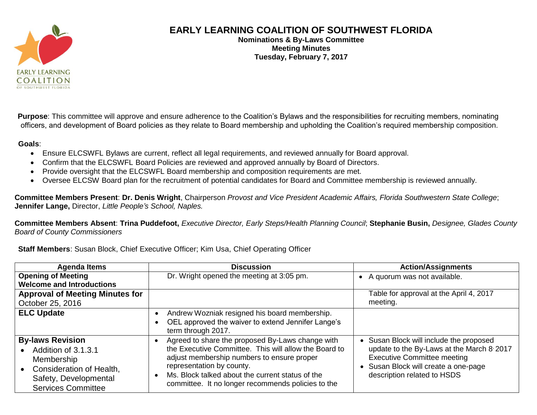

## **EARLY LEARNING COALITION OF SOUTHWEST FLORIDA**

**Nominations & By-Laws Committee Meeting Minutes Tuesday, February 7, 2017**

**Purpose**: This committee will approve and ensure adherence to the Coalition's Bylaws and the responsibilities for recruiting members, nominating officers, and development of Board policies as they relate to Board membership and upholding the Coalition's required membership composition.

## **Goals**:

- Ensure ELCSWFL Bylaws are current, reflect all legal requirements, and reviewed annually for Board approval.
- Confirm that the ELCSWFL Board Policies are reviewed and approved annually by Board of Directors.
- Provide oversight that the ELCSWFL Board membership and composition requirements are met.
- Oversee ELCSW Board plan for the recruitment of potential candidates for Board and Committee membership is reviewed annually.

**Committee Members Present**: **Dr. Denis Wright**, Chairperson *Provost and Vice President Academic Affairs, Florida Southwestern State College*; **Jennifer Lange,** Director, *Little People's School, Naples.*

**Committee Members Absent**: **Trina Puddefoot,** *Executive Director, Early Steps/Health Planning Council*; **Stephanie Busin,** *Designee, Glades County Board of County Commissioners*

## **Staff Members**: Susan Block, Chief Executive Officer; Kim Usa, Chief Operating Officer

| <b>Agenda Items</b>                                                                                                                            | <b>Discussion</b>                                                                                                                                                                                                                                                                              | <b>Action/Assignments</b>                                                                                                                                                                     |
|------------------------------------------------------------------------------------------------------------------------------------------------|------------------------------------------------------------------------------------------------------------------------------------------------------------------------------------------------------------------------------------------------------------------------------------------------|-----------------------------------------------------------------------------------------------------------------------------------------------------------------------------------------------|
| <b>Opening of Meeting</b>                                                                                                                      | Dr. Wright opened the meeting at 3:05 pm.                                                                                                                                                                                                                                                      | A quorum was not available.<br>$\bullet$                                                                                                                                                      |
| <b>Welcome and Introductions</b>                                                                                                               |                                                                                                                                                                                                                                                                                                |                                                                                                                                                                                               |
| <b>Approval of Meeting Minutes for</b>                                                                                                         |                                                                                                                                                                                                                                                                                                | Table for approval at the April 4, 2017                                                                                                                                                       |
| October 25, 2016                                                                                                                               |                                                                                                                                                                                                                                                                                                | meeting.                                                                                                                                                                                      |
| <b>ELC Update</b>                                                                                                                              | Andrew Wozniak resigned his board membership.<br>OEL approved the waiver to extend Jennifer Lange's<br>term through 2017.                                                                                                                                                                      |                                                                                                                                                                                               |
| <b>By-laws Revision</b><br>Addition of 3.1.3.1<br>Membership<br>Consideration of Health,<br>Safety, Developmental<br><b>Services Committee</b> | Agreed to share the proposed By-Laws change with<br>the Executive Committee. This will allow the Board to<br>adjust membership numbers to ensure proper<br>representation by county.<br>Ms. Block talked about the current status of the<br>committee. It no longer recommends policies to the | Susan Block will include the proposed<br>update to the By-Laws at the March 8 2017<br><b>Executive Committee meeting</b><br>Susan Block will create a one-page<br>description related to HSDS |